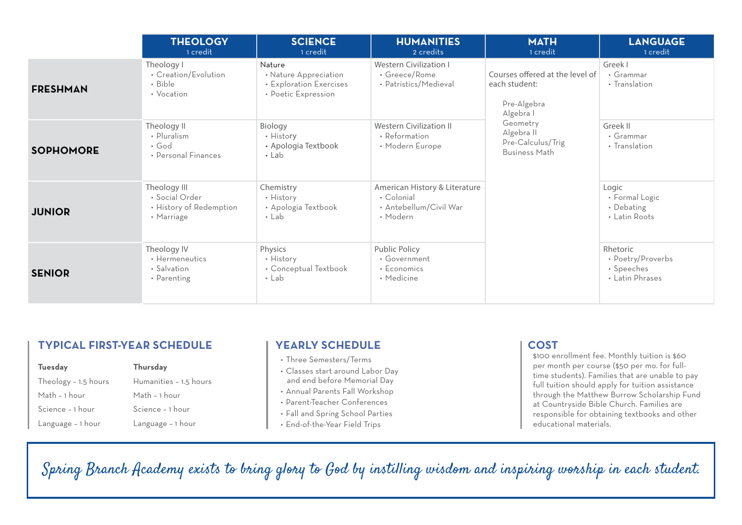|                  | <b>THEOLOGY</b><br>1 credit                                             | <b>SCIENCE</b><br>1 credit                                                        | <b>HUMANITIES</b><br>2 credits                                                    | <b>MATH</b><br>1 credit                                                      | <b>LANGUAGE</b><br>1 credit                                    |
|------------------|-------------------------------------------------------------------------|-----------------------------------------------------------------------------------|-----------------------------------------------------------------------------------|------------------------------------------------------------------------------|----------------------------------------------------------------|
| <b>FRESHMAN</b>  | Theology I<br>• Creation/Evolution<br>• Bible<br>• Vocation             | Nature<br>• Nature Appreciation<br>• Exploration Exercises<br>• Poetic Expression | <b>Western Civilization I</b><br>• Greece/Rome<br>• Patristics/Medieval           | Courses offered at the level of<br>each student:<br>Pre-Algebra<br>Algebra I | Greek I<br>• Grammar<br>• Translation                          |
| <b>SOPHOMORE</b> | Theology II<br>• Pluralism<br>$\cdot$ God<br>• Personal Finances        | Biology<br>• History<br>• Apologia Textbook<br>$\cdot$ Lab                        | <b>Western Civilization II</b><br>• Reformation<br>• Modern Europe                | Geometry<br>Algebra II<br>Pre-Calculus/Trig<br><b>Business Math</b>          | Greek II<br>• Grammar<br>• Translation                         |
| <b>JUNIOR</b>    | Theology III<br>• Social Order<br>• History of Redemption<br>• Marriage | Chemistry<br>• History<br>• Apologia Textbook<br>$\cdot$ Lab                      | American History & Literature<br>• Colonial<br>• Antebellum/Civil War<br>• Modern |                                                                              | Logic<br>• Formal Logic<br>• Debating<br>• Latin Roots         |
| <b>SENIOR</b>    | Theology IV<br>• Hermeneutics<br>• Salvation<br>• Parenting             | Physics<br>• History<br>• Conceptual Textbook<br>$\cdot$ Lab                      | Public Policy<br>• Government<br>• Economics<br>• Medicine                        |                                                                              | Rhetoric<br>• Poetry/Proverbs<br>• Speeches<br>• Latin Phrases |

# **TYPICAL FIRST-YEAR SCHEDULE**

| Tuesday              | Thursday               |
|----------------------|------------------------|
| Theology - 1.5 hours | Humanities - 1.5 hours |
| Math - 1 hour        | Math - 1 hour          |
| Science - 1 hour     | Science - 1 hour       |
| Language - 1 hour    | Language - 1 hour      |

### **YEARLY SCHEDULE**

- Three Semesters/Terms
- Classes start around Labor Day and end before Memorial Day
- Annual Parents Fall Workshop
- Parent-Teacher Conferences
- Fall and Spring School Parties
- End-of-the-Year Field Trips

## **COST**

\$100 enrollment fee. Monthly tuition is \$60 per month per course (\$50 per mo. for fulltime students). Families that are unable to pay full tuition should apply for tuition assistance through the Matthew Burrow Scholarship Fund at Countryside Bible Church. Families are responsible for obtaining textbooks and other educational materials.

Spring Branch Academy exists to bring glory to God by instilling wisdom and inspiring worship in each student.